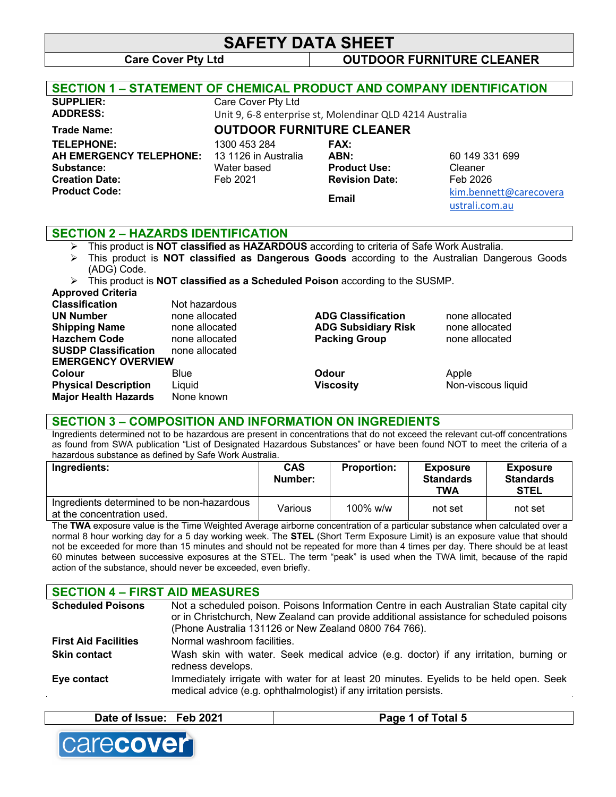# **SAFETY DATA SHEET**

### **Care Cover Pty Ltd OUTDOOR FURNITURE CLEANER**

| <b>SECTION 1 – STATEMENT OF CHEMICAL PRODUCT AND COMPANY IDENTIFICATION</b>                                 |                                                                 |                                                                              |                                                                                   |
|-------------------------------------------------------------------------------------------------------------|-----------------------------------------------------------------|------------------------------------------------------------------------------|-----------------------------------------------------------------------------------|
| <b>SUPPLIER:</b>                                                                                            | Care Cover Pty Ltd                                              |                                                                              |                                                                                   |
| <b>ADDRESS:</b>                                                                                             |                                                                 | Unit 9, 6-8 enterprise st, Molendinar QLD 4214 Australia                     |                                                                                   |
| <b>Trade Name:</b>                                                                                          | <b>OUTDOOR FURNITURE CLEANER</b>                                |                                                                              |                                                                                   |
| <b>TELEPHONE:</b><br>AH EMERGENCY TELEPHONE:<br>Substance:<br><b>Creation Date:</b><br><b>Product Code:</b> | 1300 453 284<br>13 1126 in Australia<br>Water based<br>Feb 2021 | <b>FAX:</b><br>ABN:<br><b>Product Use:</b><br><b>Revision Date:</b><br>Email | 60 149 331 699<br>Cleaner<br>Feb 2026<br>kim.bennett@carecovera<br>ustrali.com.au |
| <b>CEATION 0</b>                                                                                            | <b>ILAZADDO IDENTIFIO ATIQNI</b>                                |                                                                              |                                                                                   |

#### **SECTION 2 – HAZARDS IDENTIFICATION**

- Ø This product is **NOT classified as HAZARDOUS** according to criteria of Safe Work Australia.
- Ø This product is **NOT classified as Dangerous Goods** according to the Australian Dangerous Goods (ADG) Code.
- Ø This product is **NOT classified as a Scheduled Poison** according to the SUSMP.

### **Approved Criteria**

| <b>Classification</b>       | Not hazardous  |                            |                    |
|-----------------------------|----------------|----------------------------|--------------------|
| <b>UN Number</b>            | none allocated | <b>ADG Classification</b>  | none allocated     |
| <b>Shipping Name</b>        | none allocated | <b>ADG Subsidiary Risk</b> | none allocated     |
| <b>Hazchem Code</b>         | none allocated | <b>Packing Group</b>       | none allocated     |
| <b>SUSDP Classification</b> | none allocated |                            |                    |
| <b>EMERGENCY OVERVIEW</b>   |                |                            |                    |
| <b>Colour</b>               | Blue           | Odour                      | Apple              |
| <b>Physical Description</b> | Liquid         | <b>Viscosity</b>           | Non-viscous liquid |
| <b>Major Health Hazards</b> | None known     |                            |                    |
|                             |                |                            |                    |

#### **SECTION 3 – COMPOSITION AND INFORMATION ON INGREDIENTS**

Ingredients determined not to be hazardous are present in concentrations that do not exceed the relevant cut-off concentrations as found from SWA publication "List of Designated Hazardous Substances" or have been found NOT to meet the criteria of a hazardous substance as defined by Safe Work Australia.

| Ingredients:                                                             | <b>CAS</b><br>Number: | <b>Proportion:</b> | <b>Exposure</b><br><b>Standards</b><br>TWA | <b>Exposure</b><br><b>Standards</b><br><b>STEL</b> |
|--------------------------------------------------------------------------|-----------------------|--------------------|--------------------------------------------|----------------------------------------------------|
| Ingredients determined to be non-hazardous<br>at the concentration used. | Various               | $100\%$ w/w        | not set                                    | not set                                            |

The **TWA** exposure value is the Time Weighted Average airborne concentration of a particular substance when calculated over a normal 8 hour working day for a 5 day working week. The **STEL** (Short Term Exposure Limit) is an exposure value that should not be exceeded for more than 15 minutes and should not be repeated for more than 4 times per day. There should be at least 60 minutes between successive exposures at the STEL. The term "peak" is used when the TWA limit, because of the rapid action of the substance, should never be exceeded, even briefly.

| <b>SECTION 4 - FIRST AID MEASURES</b> |                                                                                                                                                                                                                                              |
|---------------------------------------|----------------------------------------------------------------------------------------------------------------------------------------------------------------------------------------------------------------------------------------------|
| <b>Scheduled Poisons</b>              | Not a scheduled poison. Poisons Information Centre in each Australian State capital city<br>or in Christchurch, New Zealand can provide additional assistance for scheduled poisons<br>(Phone Australia 131126 or New Zealand 0800 764 766). |
| <b>First Aid Facilities</b>           | Normal washroom facilities.                                                                                                                                                                                                                  |
| <b>Skin contact</b>                   | Wash skin with water. Seek medical advice (e.g. doctor) if any irritation, burning or<br>redness develops.                                                                                                                                   |
| Eye contact                           | Immediately irrigate with water for at least 20 minutes. Eyelids to be held open. Seek<br>medical advice (e.g. ophthalmologist) if any irritation persists.                                                                                  |

| <b>Feb 2021</b><br>Date of<br>ˈlssue: | otal 5 |
|---------------------------------------|--------|
|                                       |        |

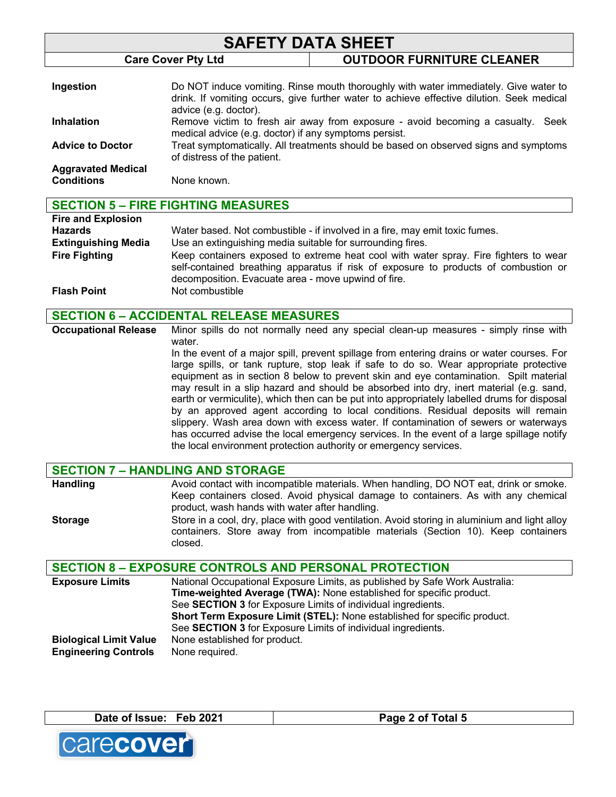| <b>SAFETY DATA SHEET</b>                       |                                                       |                                                                                                                                                                                   |
|------------------------------------------------|-------------------------------------------------------|-----------------------------------------------------------------------------------------------------------------------------------------------------------------------------------|
|                                                | <b>Care Cover Pty Ltd</b>                             | <b>OUTDOOR FURNITURE CLEANER</b>                                                                                                                                                  |
| Ingestion                                      | advice (e.g. doctor).                                 | Do NOT induce vomiting. Rinse mouth thoroughly with water immediately. Give water to<br>drink. If vomiting occurs, give further water to achieve effective dilution. Seek medical |
| <b>Inhalation</b>                              | medical advice (e.g. doctor) if any symptoms persist. | Remove victim to fresh air away from exposure - avoid becoming a casualty.<br>Seek                                                                                                |
| <b>Advice to Doctor</b>                        | of distress of the patient.                           | Treat symptomatically. All treatments should be based on observed signs and symptoms                                                                                              |
| <b>Aggravated Medical</b><br><b>Conditions</b> | None known.                                           |                                                                                                                                                                                   |

#### **SECTION 5 – FIRE FIGHTING MEASURES Fire and Explosion Hazards** Water based. Not combustible - if involved in a fire, may emit toxic fumes. **Extinguishing Media** Use an extinguishing media suitable for surrounding fires. **Fire Fighting** Keep containers exposed to extreme heat cool with water spray. Fire fighters to wear self-contained breathing apparatus if risk of exposure to products of combustion or

decomposition. Evacuate area - move upwind of fire.

**Flash Point** Not combustible

**SECTION 6 – ACCIDENTAL RELEASE MEASURES**

**Occupational Release** Minor spills do not normally need any special clean-up measures - simply rinse with water. In the event of a major spill, prevent spillage from entering drains or water courses. For large spills, or tank rupture, stop leak if safe to do so. Wear appropriate protective

equipment as in section 8 below to prevent skin and eye contamination. Spilt material may result in a slip hazard and should be absorbed into dry, inert material (e.g. sand, earth or vermiculite), which then can be put into appropriately labelled drums for disposal by an approved agent according to local conditions. Residual deposits will remain slippery. Wash area down with excess water. If contamination of sewers or waterways has occurred advise the local emergency services. In the event of a large spillage notify the local environment protection authority or emergency services.

|                 | <b>SECTION 7 - HANDLING AND STORAGE</b>                                                                                                                                                                                      |
|-----------------|------------------------------------------------------------------------------------------------------------------------------------------------------------------------------------------------------------------------------|
| <b>Handling</b> | Avoid contact with incompatible materials. When handling, DO NOT eat, drink or smoke.<br>Keep containers closed. Avoid physical damage to containers. As with any chemical<br>product, wash hands with water after handling. |
| <b>Storage</b>  | Store in a cool, dry, place with good ventilation. Avoid storing in aluminium and light alloy<br>containers. Store away from incompatible materials (Section 10). Keep containers<br>closed.                                 |

#### **SECTION 8 – EXPOSURE CONTROLS AND PERSONAL PROTECTION**

| <b>Exposure Limits</b>        | National Occupational Exposure Limits, as published by Safe Work Australia: |
|-------------------------------|-----------------------------------------------------------------------------|
|                               | Time-weighted Average (TWA): None established for specific product.         |
|                               | See <b>SECTION 3</b> for Exposure Limits of individual ingredients.         |
|                               | Short Term Exposure Limit (STEL): None established for specific product.    |
|                               | See <b>SECTION 3</b> for Exposure Limits of individual ingredients.         |
| <b>Biological Limit Value</b> | None established for product.                                               |
| <b>Engineering Controls</b>   | None required.                                                              |

**Date of Issue: Feb 2021 Page 2 of Total 5**

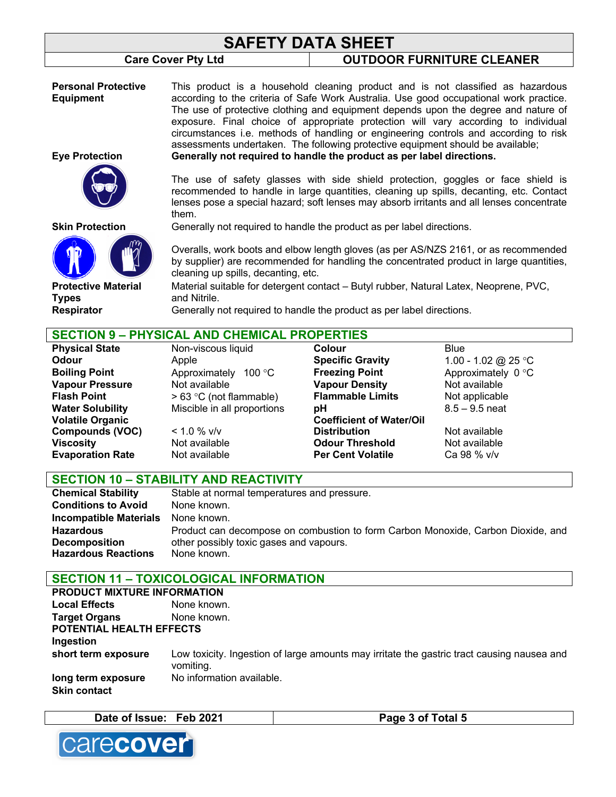# **SAFETY DATA SHEET**

## **Care Cover Pty Ltd OUTDOOR FURNITURE CLEANER**

**Personal Protective Equipment**

**Eye Protection**

**Skin Protection**

**Protective Material** 

**Types**

This product is a household cleaning product and is not classified as hazardous according to the criteria of Safe Work Australia. Use good occupational work practice. The use of protective clothing and equipment depends upon the degree and nature of exposure. Final choice of appropriate protection will vary according to individual circumstances i.e. methods of handling or engineering controls and according to risk assessments undertaken. The following protective equipment should be available; **Generally not required to handle the product as per label directions.** 

The use of safety glasses with side shield protection, goggles or face shield is recommended to handle in large quantities, cleaning up spills, decanting, etc. Contact lenses pose a special hazard; soft lenses may absorb irritants and all lenses concentrate them.

Generally not required to handle the product as per label directions.

Overalls, work boots and elbow length gloves (as per AS/NZS 2161, or as recommended by supplier) are recommended for handling the concentrated product in large quantities, cleaning up spills, decanting, etc.

Material suitable for detergent contact – Butyl rubber, Natural Latex, Neoprene, PVC, and Nitrile.

**Respirator** Generally not required to handle the product as per label directions.

# **SECTION 9 – PHYSICAL AND CHEMICAL PROPERTIES**

| <b>Physical State</b>   | Non-viscous liquid          | Colour                          | Blue                |
|-------------------------|-----------------------------|---------------------------------|---------------------|
| Odour                   | Apple                       | <b>Specific Gravity</b>         | 1.00 - 1.02 @ 25 °C |
| <b>Boiling Point</b>    | Approximately<br>100 °C     | <b>Freezing Point</b>           | Approximately 0 °C  |
| <b>Vapour Pressure</b>  | Not available               | <b>Vapour Density</b>           | Not available       |
| <b>Flash Point</b>      | $> 63$ °C (not flammable)   | <b>Flammable Limits</b>         | Not applicable      |
| <b>Water Solubility</b> | Miscible in all proportions | рH                              | $8.5 - 9.5$ neat    |
| <b>Volatile Organic</b> |                             | <b>Coefficient of Water/Oil</b> |                     |
| <b>Compounds (VOC)</b>  | $< 1.0 \%$ v/v              | <b>Distribution</b>             | Not available       |
| Viscosity               | Not available               | <b>Odour Threshold</b>          | Not available       |
| <b>Evaporation Rate</b> | Not available               | <b>Per Cent Volatile</b>        | Ca 98 % v/v         |
|                         |                             |                                 |                     |

## **SECTION 10 – STABILITY AND REACTIVITY**

| <b>Chemical Stability</b>     | Stable at normal temperatures and pressure.                                      |
|-------------------------------|----------------------------------------------------------------------------------|
| <b>Conditions to Avoid</b>    | None known.                                                                      |
| <b>Incompatible Materials</b> | None known.                                                                      |
| <b>Hazardous</b>              | Product can decompose on combustion to form Carbon Monoxide, Carbon Dioxide, and |
| <b>Decomposition</b>          | other possibly toxic gases and vapours.                                          |
| <b>Hazardous Reactions</b>    | None known.                                                                      |

# **SECTION 11 – TOXICOLOGICAL INFORMATION**

| <b>PRODUCT MIXTURE INFORMATION</b>        |                                                                                                         |
|-------------------------------------------|---------------------------------------------------------------------------------------------------------|
| <b>Local Effects</b>                      | None known.                                                                                             |
| <b>Target Organs</b>                      | None known.                                                                                             |
| POTENTIAL HEALTH EFFECTS                  |                                                                                                         |
| Ingestion                                 |                                                                                                         |
| short term exposure                       | Low toxicity. Ingestion of large amounts may irritate the gastric tract causing nausea and<br>vomiting. |
| long term exposure<br><b>Skin contact</b> | No information available.                                                                               |

| Date of Issue: Feb 2021 | Page 3 of Total 5 |
|-------------------------|-------------------|

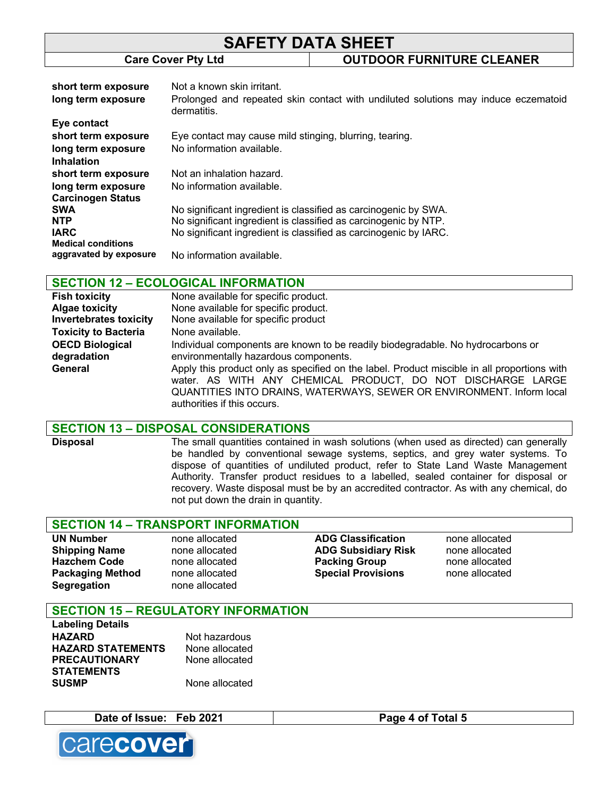# **SAFETY DATA SHEET Care Cover Pty Ltd OUTDOOR FURNITURE CLEANER**

| short term exposure<br>long term exposure | Not a known skin irritant.<br>Prolonged and repeated skin contact with undiluted solutions may induce eczematoid<br>dermatitis. |
|-------------------------------------------|---------------------------------------------------------------------------------------------------------------------------------|
| Eye contact                               |                                                                                                                                 |
| short term exposure                       | Eye contact may cause mild stinging, blurring, tearing.                                                                         |
| long term exposure                        | No information available.                                                                                                       |
| <b>Inhalation</b>                         |                                                                                                                                 |
| short term exposure                       | Not an inhalation hazard.                                                                                                       |
| long term exposure                        | No information available.                                                                                                       |
| <b>Carcinogen Status</b>                  |                                                                                                                                 |
| <b>SWA</b>                                | No significant ingredient is classified as carcinogenic by SWA.                                                                 |
| <b>NTP</b>                                | No significant ingredient is classified as carcinogenic by NTP.                                                                 |
| <b>IARC</b>                               | No significant ingredient is classified as carcinogenic by IARC.                                                                |
| <b>Medical conditions</b>                 |                                                                                                                                 |
| aggravated by exposure                    | No information available.                                                                                                       |

## **SECTION 12 – ECOLOGICAL INFORMATION**

| <b>Fish toxicity</b>          | None available for specific product.                                                                                                                                                                                                                               |
|-------------------------------|--------------------------------------------------------------------------------------------------------------------------------------------------------------------------------------------------------------------------------------------------------------------|
| <b>Algae toxicity</b>         | None available for specific product.                                                                                                                                                                                                                               |
| <b>Invertebrates toxicity</b> | None available for specific product                                                                                                                                                                                                                                |
| <b>Toxicity to Bacteria</b>   | None available.                                                                                                                                                                                                                                                    |
| <b>OECD Biological</b>        | Individual components are known to be readily biodegradable. No hydrocarbons or                                                                                                                                                                                    |
| degradation                   | environmentally hazardous components.                                                                                                                                                                                                                              |
| General                       | Apply this product only as specified on the label. Product miscible in all proportions with<br>water. AS WITH ANY CHEMICAL PRODUCT, DO NOT DISCHARGE LARGE<br>QUANTITIES INTO DRAINS, WATERWAYS, SEWER OR ENVIRONMENT. Inform local<br>authorities if this occurs. |

#### **SECTION 13 – DISPOSAL CONSIDERATIONS**

**Disposal** The small quantities contained in wash solutions (when used as directed) can generally be handled by conventional sewage systems, septics, and grey water systems. To dispose of quantities of undiluted product, refer to State Land Waste Management Authority. Transfer product residues to a labelled, sealed container for disposal or recovery. Waste disposal must be by an accredited contractor. As with any chemical, do not put down the drain in quantity.

#### **SECTION 14 – TRANSPORT INFORMATION**

| <b>UN Number</b>        | none allocated | <b>ADG Classification</b>  | none allocated |
|-------------------------|----------------|----------------------------|----------------|
| <b>Shipping Name</b>    | none allocated | <b>ADG Subsidiary Risk</b> | none allocated |
| <b>Hazchem Code</b>     | none allocated | <b>Packing Group</b>       | none allocated |
| <b>Packaging Method</b> | none allocated | <b>Special Provisions</b>  | none allocated |
| <b>Segregation</b>      | none allocated |                            |                |

# **SECTION 15 – REGULATORY INFORMATION**

**Labeling Details** HAZARD Not hazardous **HAZARD STATEMENTS** None allocated **PRECAUTIONARY STATEMENTS SUSMP** None allocated

None allocated

| Date of Issue: Feb 2021 |  | Page 4 of Total 5 |
|-------------------------|--|-------------------|
|-------------------------|--|-------------------|

carecover